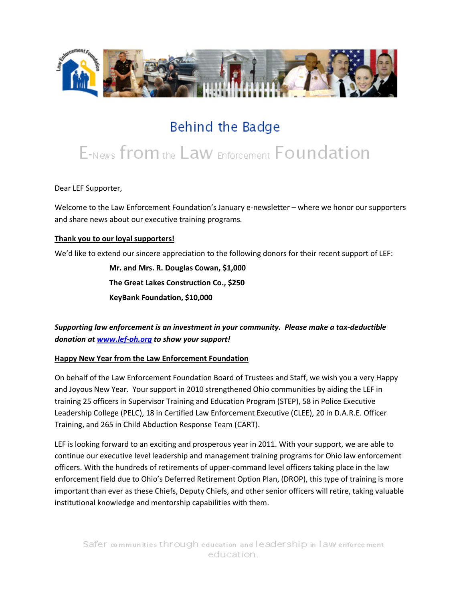

# Behind the Badge

# E-News from the Law Enforcement Foundation

Dear LEF Supporter,

Welcome to the Law Enforcement Foundation's January e-newsletter – where we honor our supporters and share news about our executive training programs.

#### **Thank you to our loyal supporters!**

We'd like to extend our sincere appreciation to the following donors for their recent support of LEF:

**Mr. and Mrs. R. Douglas Cowan, \$1,000 The Great Lakes Construction Co., \$250 KeyBank Foundation, \$10,000**

### *Supporting law enforcement is an investment in your community. Please make a tax-deductible donation at [www.lef-oh.org](http://www.lef-oh.org/) to show your support!*

#### **Happy New Year from the Law Enforcement Foundation**

On behalf of the Law Enforcement Foundation Board of Trustees and Staff, we wish you a very Happy and Joyous New Year. Your support in 2010 strengthened Ohio communities by aiding the LEF in training 25 officers in Supervisor Training and Education Program (STEP), 58 in Police Executive Leadership College (PELC), 18 in Certified Law Enforcement Executive (CLEE), 20 in D.A.R.E. Officer Training, and 265 in Child Abduction Response Team (CART).

LEF is looking forward to an exciting and prosperous year in 2011. With your support, we are able to continue our executive level leadership and management training programs for Ohio law enforcement officers. With the hundreds of retirements of upper-command level officers taking place in the law enforcement field due to Ohio's Deferred Retirement Option Plan, (DROP), this type of training is more important than ever as these Chiefs, Deputy Chiefs, and other senior officers will retire, taking valuable institutional knowledge and mentorship capabilities with them.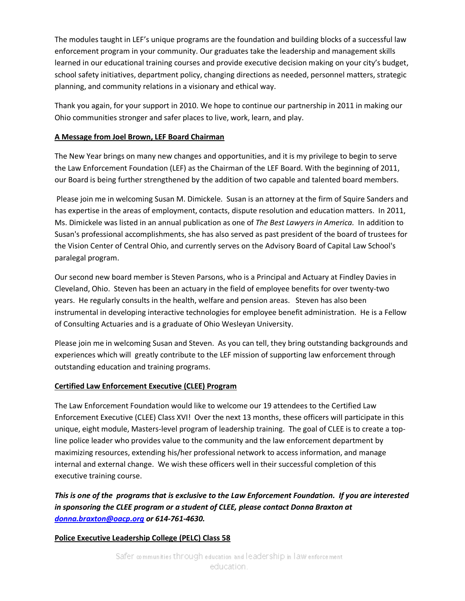The modules taught in LEF's unique programs are the foundation and building blocks of a successful law enforcement program in your community. Our graduates take the leadership and management skills learned in our educational training courses and provide executive decision making on your city's budget, school safety initiatives, department policy, changing directions as needed, personnel matters, strategic planning, and community relations in a visionary and ethical way.

Thank you again, for your support in 2010. We hope to continue our partnership in 2011 in making our Ohio communities stronger and safer places to live, work, learn, and play.

#### **A Message from Joel Brown, LEF Board Chairman**

The New Year brings on many new changes and opportunities, and it is my privilege to begin to serve the Law Enforcement Foundation (LEF) as the Chairman of the LEF Board. With the beginning of 2011, our Board is being further strengthened by the addition of two capable and talented board members.

Please join me in welcoming Susan M. Dimickele. Susan is an attorney at the firm of Squire Sanders and has expertise in the areas of employment, contacts, dispute resolution and education matters. In 2011, Ms. Dimickele was listed in an annual publication as one of *The Best Lawyers in America.* In addition to Susan's professional accomplishments, she has also served as past president of the board of trustees for the Vision Center of Central Ohio, and currently serves on the Advisory Board of Capital Law School's paralegal program.

Our second new board member is Steven Parsons, who is a Principal and Actuary at Findley Davies in Cleveland, Ohio. Steven has been an actuary in the field of employee benefits for over twenty-two years. He regularly consults in the health, welfare and pension areas. Steven has also been instrumental in developing interactive technologies for employee benefit administration. He is a Fellow of Consulting Actuaries and is a graduate of Ohio Wesleyan University.

Please join me in welcoming Susan and Steven. As you can tell, they bring outstanding backgrounds and experiences which will greatly contribute to the LEF mission of supporting law enforcement through outstanding education and training programs.

#### **Certified Law Enforcement Executive (CLEE) Program**

The Law Enforcement Foundation would like to welcome our 19 attendees to the Certified Law Enforcement Executive (CLEE) Class XVI! Over the next 13 months, these officers will participate in this unique, eight module, Masters-level program of leadership training. The goal of CLEE is to create a topline police leader who provides value to the community and the law enforcement department by maximizing resources, extending his/her professional network to access information, and manage internal and external change. We wish these officers well in their successful completion of this executive training course.

## *This is one of the programs that is exclusive to the Law Enforcement Foundation. If you are interested in sponsoring the CLEE program or a student of CLEE, please contact Donna Braxton at [donna.braxton@oacp.org](mailto:donna.braxton@oacp.org) or 614-761-4630.*

#### **Police Executive Leadership College (PELC) Class 58**